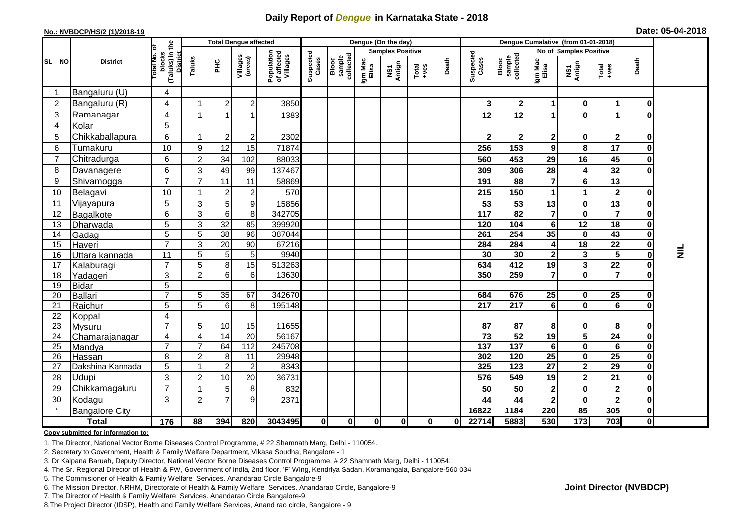## **Daily Report of** *Dengue* **in Karnataka State - 2018**

#### **No.: NVBDCP/HS/2 (1)/2018-19**

|  |  | Date: 05-04-2018 |
|--|--|------------------|
|--|--|------------------|

|                |                       |                                                              |                |                           | <b>Total Dengue affected</b>          |                    |                              |                  |                                   | Dengue (On the day)                                          |       |                    |                              |                         |                 | Dengue Cumalative (from 01-01-2018) |                         |                         |                 |  |
|----------------|-----------------------|--------------------------------------------------------------|----------------|---------------------------|---------------------------------------|--------------------|------------------------------|------------------|-----------------------------------|--------------------------------------------------------------|-------|--------------------|------------------------------|-------------------------|-----------------|-------------------------------------|-------------------------|-------------------------|-----------------|--|
|                | <b>District</b>       |                                                              |                |                           |                                       |                    |                              |                  |                                   | <b>Samples Positive</b>                                      |       |                    |                              |                         |                 | No of Samples Positive              |                         |                         |                 |  |
| SL NO          |                       | (Taluks) in the<br>Total No. of<br>blocks<br><b>District</b> | Taluks         | Villages<br>(areas)<br>ÈС | Population<br>of affected<br>Villages | Suspected<br>Cases | collected<br>sample<br>Blood | Igm Mac<br>Elisa | Antign<br>$\overline{\mathbf{s}}$ | $\begin{array}{c}\n\text{Total} \\ \text{Area}\n\end{array}$ | Death | Suspected<br>Cases | Blood<br>sample<br>collected | Igm Mac<br>Elisa        | NS1<br>Antign   | Total<br>+ves                       | Death                   |                         |                 |  |
|                | Bangaluru (U)         | 4                                                            |                |                           |                                       |                    |                              |                  |                                   |                                                              |       |                    |                              |                         |                 |                                     |                         |                         |                 |  |
| 2              | Bangaluru (R)         | 4                                                            |                | $\overline{2}$            | $\overline{c}$                        | 3850               |                              |                  |                                   |                                                              |       |                    | 3                            | $\mathbf{2}$            | 1               | 0                                   | 1                       | 0                       |                 |  |
| 3              | Ramanagar             | 4                                                            |                |                           |                                       | 1383               |                              |                  |                                   |                                                              |       |                    | 12                           | 12                      | 1               | $\mathbf{0}$                        | 1                       | 0                       |                 |  |
| 4              | Kolar                 | 5                                                            |                |                           |                                       |                    |                              |                  |                                   |                                                              |       |                    |                              |                         |                 |                                     |                         |                         |                 |  |
| 5              | Chikkaballapura       | 6                                                            |                | $\overline{c}$            | $\overline{c}$                        | 2302               |                              |                  |                                   |                                                              |       |                    | $\overline{2}$               | $\overline{\mathbf{2}}$ | $\mathbf 2$     | $\mathbf{0}$                        | $\mathbf 2$             | 0                       |                 |  |
| 6              | Tumakuru              | 10                                                           | 9              | 12                        | 15                                    | 71874              |                              |                  |                                   |                                                              |       |                    | 256                          | 153                     | 9               | 8                                   | 17                      | $\bf{0}$                |                 |  |
| $\overline{7}$ | Chitradurga           | 6                                                            | $\overline{2}$ | 34                        | 102                                   | 88033              |                              |                  |                                   |                                                              |       |                    | 560                          | 453                     | 29              | 16                                  | 45                      | 0                       |                 |  |
| 8              | Davanagere            | 6                                                            | 31             | 49                        | 99                                    | 137467             |                              |                  |                                   |                                                              |       |                    | 309                          | 306                     | 28              | 4                                   | 32                      | $\mathbf 0$             |                 |  |
| 9              | Shivamogga            | $\overline{7}$                                               |                | 11                        | 11                                    | 58869              |                              |                  |                                   |                                                              |       |                    | 191                          | 88                      | $\overline{7}$  | $6\phantom{a}$                      | 13                      |                         |                 |  |
| 10             | Belagavi              | 10                                                           |                | $\overline{2}$            | $\overline{2}$                        | 570                |                              |                  |                                   |                                                              |       |                    | 215                          | 150                     | 1               |                                     | $\mathbf 2$             | 0                       |                 |  |
| 11             | Vijayapura            | 5                                                            | $\overline{3}$ | 5 <sup>5</sup>            | 9                                     | 15856              |                              |                  |                                   |                                                              |       |                    | 53                           | 53                      | 13              | 0                                   | 13                      | 0                       |                 |  |
| 12             | Bagalkote             | 6                                                            | 3              | 6                         | 8                                     | 342705             |                              |                  |                                   |                                                              |       |                    | 117                          | 82                      | $\overline{7}$  | $\mathbf{0}$                        | $\overline{7}$          | $\mathbf 0$             |                 |  |
| 13             | Dharwada              | $\overline{5}$                                               | $\overline{3}$ | $\overline{32}$           | 85                                    | 399920             |                              |                  |                                   |                                                              |       |                    | 120                          | 104                     | $6\phantom{1}$  | 12                                  | $\overline{18}$         | $\overline{\mathbf{0}}$ |                 |  |
| 14             | Gadag                 | 5                                                            | 5 <sup>1</sup> | 38                        | 96                                    | 387044             |                              |                  |                                   |                                                              |       |                    | 261                          | 254                     | 35              | 8                                   | 43                      | $\overline{\mathbf{0}}$ |                 |  |
| 15             | Haveri                | $\overline{7}$                                               | 3 <sup>1</sup> | 20                        | 90                                    | 67216              |                              |                  |                                   |                                                              |       |                    | 284                          | 284                     | 4               | 18                                  | 22                      | $\pmb{0}$               |                 |  |
| 16             | Uttara kannada        | 11                                                           | 51             | 5 <sup>5</sup>            | 5                                     | 9940               |                              |                  |                                   |                                                              |       |                    | 30                           | 30                      | $\mathbf{2}$    | 3 <sup>1</sup>                      | 5                       | $\overline{\mathbf{0}}$ | $\vec{\bar{z}}$ |  |
| 17             | Kalaburagi            | $\overline{7}$                                               | 5              | 8                         | 15                                    | 513263             |                              |                  |                                   |                                                              |       |                    | 634                          | 412                     | 19              | 3 <sup>1</sup>                      | $\overline{22}$         | $\overline{\mathbf{0}}$ |                 |  |
| 18             | Yadageri              | 3                                                            | 2 <sup>1</sup> | 6                         | $6\phantom{1}6$                       | 13630              |                              |                  |                                   |                                                              |       |                    | 350                          | 259                     | $\overline{7}$  | $\mathbf{0}$                        | $\overline{7}$          | $\mathbf 0$             |                 |  |
| 19             | <b>Bidar</b>          | $\overline{5}$                                               |                |                           |                                       |                    |                              |                  |                                   |                                                              |       |                    |                              |                         |                 |                                     |                         |                         |                 |  |
| 20             | Ballari               | $\overline{7}$                                               | 5              | 35                        | 67                                    | 342670             |                              |                  |                                   |                                                              |       |                    | 684                          | 676                     | 25              | 0                                   | 25                      | 0                       |                 |  |
| 21             | Raichur               | $\overline{5}$                                               | 5              | 6                         | 8                                     | 195148             |                              |                  |                                   |                                                              |       |                    | $\overline{217}$             | $\overline{217}$        | 6               | $\mathbf{0}$                        | 6                       | $\mathbf 0$             |                 |  |
| 22             | Koppal                | 4                                                            |                |                           |                                       |                    |                              |                  |                                   |                                                              |       |                    |                              |                         |                 |                                     |                         |                         |                 |  |
| 23             | <b>Mysuru</b>         | $\overline{7}$                                               | 5              | 10                        | 15                                    | 11655              |                              |                  |                                   |                                                              |       |                    | 87                           | 87                      | 8               | $\mathbf{0}$                        | 8                       | $\pmb{0}$               |                 |  |
| 24             | Chamarajanagar        | 4                                                            | 4              | $\overline{14}$           | 20                                    | 56167              |                              |                  |                                   |                                                              |       |                    | 73                           | 52                      | 19              | 5 <sup>1</sup>                      | $\overline{24}$         | $\pmb{0}$               |                 |  |
| 25             | Mandya                | $\overline{7}$                                               |                | 64                        | $\frac{11}{2}$                        | 245708             |                              |                  |                                   |                                                              |       |                    | $\frac{1}{137}$              | $\overline{137}$        | $6 \,$          | $\mathbf{0}$                        | 6                       | $\pmb{0}$               |                 |  |
| 26             | Hassan                | 8                                                            | $\overline{2}$ | 8                         | 11                                    | 29948              |                              |                  |                                   |                                                              |       |                    | 302                          | 120                     | 25              | $\mathbf{0}$                        | $\overline{25}$         | $\overline{\mathbf{0}}$ |                 |  |
| 27             | Dakshina Kannada      | $\overline{5}$                                               |                | $\overline{2}$            | $\overline{2}$                        | 8343               |                              |                  |                                   |                                                              |       |                    | 325                          | $\overline{123}$        | $\overline{27}$ | $\overline{2}$                      | 29                      | $\overline{\mathbf{0}}$ |                 |  |
| 28             | Udupi                 | 3                                                            | $\overline{2}$ | 10                        | 20                                    | 36731              |                              |                  |                                   |                                                              |       |                    | 576                          | 549                     | 19              | 2                                   | 21                      | $\pmb{0}$               |                 |  |
| 29             | Chikkamagaluru        | $\overline{7}$                                               |                | 5                         | 8                                     | 832                |                              |                  |                                   |                                                              |       |                    | 50                           | 50                      | $\mathbf{2}$    | $\mathbf{0}$                        | $\mathbf 2$             | $\pmb{0}$               |                 |  |
| 30             | Kodagu                | 3                                                            | $\overline{2}$ |                           | 9                                     | 2371               |                              |                  |                                   |                                                              |       |                    | 44                           | 44                      | 2 <sub>l</sub>  | $\mathbf{0}$                        | $\overline{\mathbf{2}}$ | $\pmb{0}$               |                 |  |
|                | <b>Bangalore City</b> |                                                              |                |                           |                                       |                    |                              |                  |                                   |                                                              |       |                    | 16822                        | 1184                    | 220             | 85                                  | 305                     | $\mathbf 0$             |                 |  |
|                | <b>Total</b>          | 176                                                          | 88             | 394                       | 820                                   | 3043495            | $\bf{0}$                     | $\bf{0}$         | $\mathbf 0$                       | 0                                                            | 0     | $\bf{0}$           | 22714                        | 5883                    | 530             | 173                                 | 703                     | $\mathbf 0$             |                 |  |

#### **Copy submitted for information to:**

1. The Director, National Vector Borne Diseases Control Programme, # 22 Shamnath Marg, Delhi - 110054.

2. Secretary to Government, Health & Family Welfare Department, Vikasa Soudha, Bangalore - 1

3. Dr Kalpana Baruah, Deputy Director, National Vector Borne Diseases Control Programme, # 22 Shamnath Marg, Delhi - 110054.

4. The Sr. Regional Director of Health & FW, Government of India, 2nd floor, 'F' Wing, Kendriya Sadan, Koramangala, Bangalore-560 034

5. The Commisioner of Health & Family Welfare Services. Anandarao Circle Bangalore-9

6. The Mission Director, NRHM, Directorate of Health & Family Welfare Services. Anandarao Circle, Bangalore-9

7. The Director of Health & Family Welfare Services. Anandarao Circle Bangalore-9

8.The Project Director (IDSP), Health and Family Welfare Services, Anand rao circle, Bangalore - 9